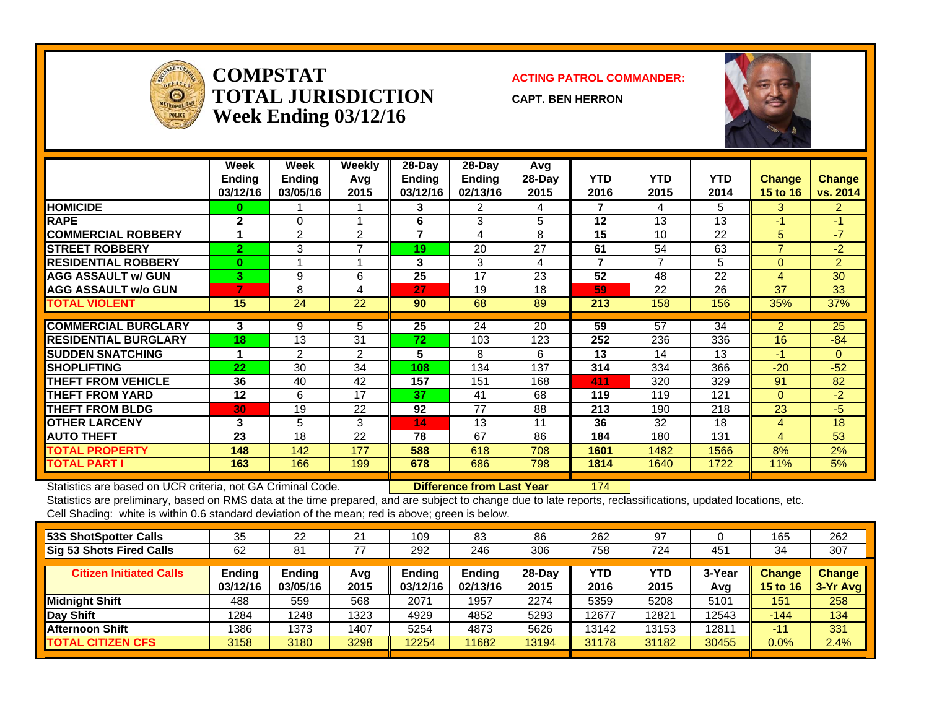

**COMPSTATTOTAL JURISDICTIONWeek Ending 03/12/16**

**ACTING PATROL COMMANDER:**

**CAPT. BEN HERRON**



|                             | Week<br><b>Ending</b><br>03/12/16 | Week<br><b>Ending</b><br>03/05/16 | <b>Weekly</b><br>Avq<br>2015 | $28$ -Day<br><b>Ending</b><br>03/12/16 | $28$ -Day<br><b>Ending</b><br>02/13/16 | Avg<br>28-Day<br>2015 | <b>YTD</b><br>2016 | YTD.<br>2015 | <b>YTD</b><br>2014 | <b>Change</b><br><b>15 to 16</b> | <b>Change</b><br>vs. 2014 |
|-----------------------------|-----------------------------------|-----------------------------------|------------------------------|----------------------------------------|----------------------------------------|-----------------------|--------------------|--------------|--------------------|----------------------------------|---------------------------|
| <b>HOMICIDE</b>             | $\bf{0}$                          |                                   |                              | 3                                      | 2                                      | 4                     | 7                  | 4            | 5                  | 3                                | $\overline{2}$            |
| <b>RAPE</b>                 | $\mathbf{2}$                      | $\Omega$                          |                              | 6                                      | 3                                      | 5                     | 12                 | 13           | 13                 | $-1$                             | -1                        |
| <b>COMMERCIAL ROBBERY</b>   | 1                                 | 2                                 | 2                            | 7                                      | 4                                      | 8                     | 15                 | 10           | 22                 | 5                                | $-7$                      |
| <b>STREET ROBBERY</b>       | $\overline{2}$                    | 3                                 | $\overline{ }$               | 19                                     | 20                                     | 27                    | 61                 | 54           | 63                 | $\overline{ }$                   | $-2$                      |
| <b>RESIDENTIAL ROBBERY</b>  | $\bf{0}$                          |                                   |                              | 3                                      | 3                                      | 4                     | 7                  | 7            | 5                  | $\Omega$                         | $\overline{2}$            |
| <b>AGG ASSAULT w/ GUN</b>   | 3.                                | 9                                 | 6                            | 25                                     | 17                                     | 23                    | 52                 | 48           | 22                 | 4                                | 30                        |
| <b>AGG ASSAULT w/o GUN</b>  |                                   | 8                                 | 4                            | 27                                     | 19                                     | 18                    | 59                 | 22           | 26                 | 37                               | 33                        |
| TOTAL VIOLENT               | 15                                | 24                                | 22                           | 90                                     | 68                                     | 89                    | 213                | 158          | 156                | 35%                              | 37%                       |
|                             |                                   |                                   |                              |                                        |                                        |                       |                    |              |                    |                                  |                           |
| <b>COMMERCIAL BURGLARY</b>  | 3                                 | 9                                 | 5                            | 25                                     | 24                                     | 20                    | 59                 | 57           | 34                 | $\overline{2}$                   | 25                        |
| <b>RESIDENTIAL BURGLARY</b> | 18                                | 13                                | 31                           | 72                                     | 103                                    | 123                   | 252                | 236          | 336                | 16                               | $-84$                     |
| <b>SUDDEN SNATCHING</b>     |                                   | 2                                 | 2                            | 5                                      | 8                                      | 6                     | 13                 | 14           | 13                 | $-1$                             | $\Omega$                  |
| <b>SHOPLIFTING</b>          | 22                                | 30                                | 34                           | 108                                    | 134                                    | 137                   | 314                | 334          | 366                | $-20$                            | $-52$                     |
| <b>THEFT FROM VEHICLE</b>   | 36                                | 40                                | 42                           | 157                                    | 151                                    | 168                   | 411                | 320          | 329                | 91                               | 82                        |
| <b>THEFT FROM YARD</b>      | 12                                | 6                                 | 17                           | 37                                     | 41                                     | 68                    | 119                | 119          | 121                | $\Omega$                         | $-2$                      |
| <b>THEFT FROM BLDG</b>      | 30                                | 19                                | 22                           | 92                                     | 77                                     | 88                    | 213                | 190          | 218                | 23                               | -5                        |
| <b>OTHER LARCENY</b>        | 3                                 | 5                                 | 3                            | 14                                     | 13                                     | 11                    | 36                 | 32           | 18                 | 4                                | 18                        |
| <b>AUTO THEFT</b>           | 23                                | 18                                | 22                           | 78                                     | 67                                     | 86                    | 184                | 180          | 131                | 4                                | 53                        |
| <b>TOTAL PROPERTY</b>       | 148                               | 142                               | 177                          | 588                                    | 618                                    | 708                   | 1601               | 1482         | 1566               | 8%                               | 2%                        |
| <b>TOTAL PART I</b>         | 163                               | 166                               | 199                          | 678                                    | 686                                    | 798                   | 1814               | 1640         | 1722               | 11%                              | 5%                        |

Statistics are based on UCR criteria, not GA Criminal Code. **Difference from Last Year** 174

| 53S ShotSpotter Calls           | 35                 | 22                        | 21          | 109                       | 83                 | 86             | 262         | 97          |                   | 165                       | 262                       |
|---------------------------------|--------------------|---------------------------|-------------|---------------------------|--------------------|----------------|-------------|-------------|-------------------|---------------------------|---------------------------|
| <b>Sig 53 Shots Fired Calls</b> | 62                 | 81                        | 77          | 292                       | 246                | 306            | 758         | 724         | 451               | 34                        | 307                       |
| <b>Citizen Initiated Calls</b>  | Ending<br>03/12/16 | <b>Ending</b><br>03/05/16 | Avq<br>2015 | <b>Ending</b><br>03/12/16 | Ending<br>02/13/16 | 28-Day<br>2015 | YTD<br>2016 | YTD<br>2015 | 3-Year<br>Avg     | <b>Change</b><br>15 to 16 | <b>Change</b><br>3-Yr Avg |
| Midnight Shift                  | 488                | 559                       | 568         | 2071                      | 1957               | 2274           | 5359        | 5208        | 5101              | 151                       | 258                       |
| Day Shift                       | 1284               | 1248                      | 1323        | 4929                      | 4852               | 5293           | 12677       | 12821       | 12543             | $-144$                    | 134                       |
| <b>Afternoon Shift</b>          | 1386               | 1373                      | 1407        | 5254                      | 4873               | 5626           | 13142       | 13153       | 1281 <sup>.</sup> | $-11$                     | 331                       |
| <b>TOTAL CITIZEN CFS</b>        | 3158               | 3180                      | 3298        | 12254                     | 11682              | 13194          | 31178       | 31182       | 30455             | 0.0%                      | 2.4%                      |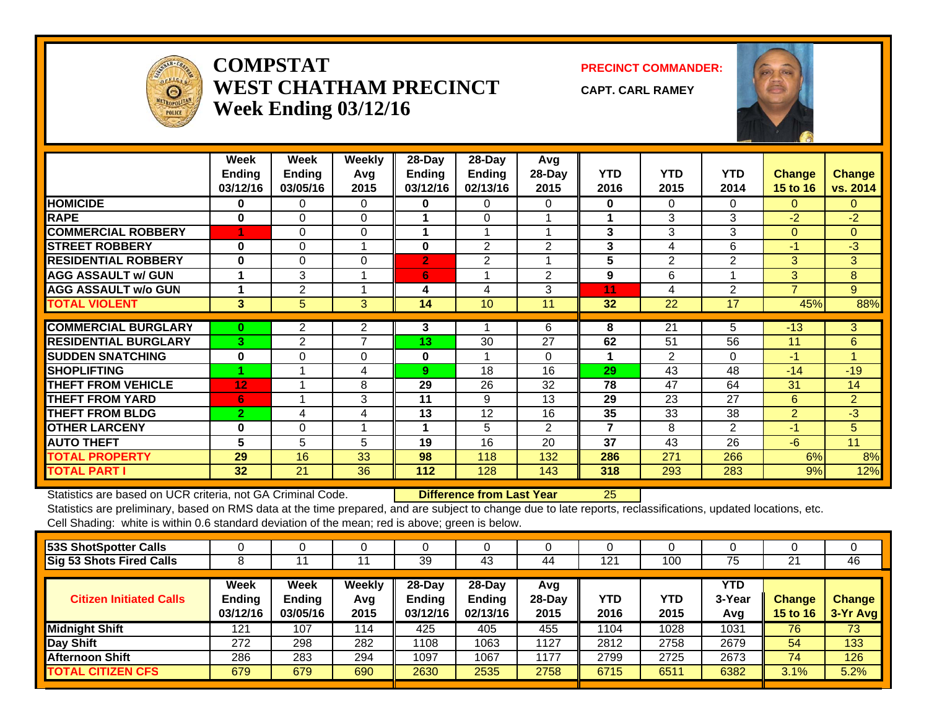

### **COMPSTATWEST CHATHAM PRECINCTWeek Ending 03/12/16**

**PRECINCT COMMANDER:**

**CAPT. CARL RAMEY**



|                             | Week<br><b>Ending</b><br>03/12/16 | Week<br><b>Ending</b><br>03/05/16 | <b>Weekly</b><br>Avg<br>2015 | 28-Day<br>Ending<br>03/12/16 | $28$ -Day<br>Ending<br>02/13/16 | Avg<br>$28-Day$<br>2015 | <b>YTD</b><br>2016 | <b>YTD</b><br>2015 | <b>YTD</b><br>2014 | Change<br>15 to 16 | <b>Change</b><br>vs. 2014 |
|-----------------------------|-----------------------------------|-----------------------------------|------------------------------|------------------------------|---------------------------------|-------------------------|--------------------|--------------------|--------------------|--------------------|---------------------------|
| <b>HOMICIDE</b>             | $\bf{0}$                          | $\Omega$                          | $\Omega$                     | 0                            | 0                               | 0                       | $\bf{0}$           | 0                  | $\Omega$           | $\Omega$           | $\mathbf{0}$              |
| <b>RAPE</b>                 | $\bf{0}$                          | $\Omega$                          | $\Omega$                     |                              | $\Omega$                        |                         | 4                  | 3                  | 3                  | $-2$               | $-2$                      |
| <b>COMMERCIAL ROBBERY</b>   |                                   | 0                                 | $\Omega$                     |                              |                                 |                         | 3                  | 3                  | 3                  | $\Omega$           | $\mathbf{0}$              |
| <b>STREET ROBBERY</b>       | $\bf{0}$                          | 0                                 |                              | 0                            | $\mathfrak{p}$                  | $\mathfrak{p}$          | 3                  | 4                  | 6                  | $-1$               | $-3$                      |
| <b>RESIDENTIAL ROBBERY</b>  | $\bf{0}$                          | 0                                 | 0                            | $\mathbf{2}$                 | $\overline{2}$                  |                         | 5                  | $\overline{2}$     | $\overline{2}$     | 3                  | 3                         |
| <b>AGG ASSAULT w/ GUN</b>   | 1                                 | 3                                 |                              | 6                            | $\overline{\mathbf{A}}$         | $\overline{2}$          | 9                  | 6                  |                    | 3                  | 8                         |
| <b>AGG ASSAULT w/o GUN</b>  | 1                                 | $\overline{2}$                    |                              | 4                            | $\overline{4}$                  | 3                       | 11                 | 4                  | 2                  | $\overline{7}$     | 9                         |
| <b>TOTAL VIOLENT</b>        | 3                                 | 5                                 | 3 <sup>1</sup>               | 14                           | 10                              | 11                      | 32 <sub>2</sub>    | 22                 | 17                 | 45%                | 88%                       |
|                             |                                   |                                   |                              |                              |                                 |                         |                    |                    |                    |                    |                           |
| <b>COMMERCIAL BURGLARY</b>  | $\bf{0}$                          | $\overline{2}$                    | $\overline{2}$               | 3                            |                                 | 6                       | 8                  | 21                 | 5                  | $-13$              | 3                         |
| <b>RESIDENTIAL BURGLARY</b> | 3                                 | 2                                 | $\overline{7}$               | 13                           | 30                              | 27                      | 62                 | 51                 | 56                 | 11                 | 6                         |
| <b>SUDDEN SNATCHING</b>     | 0                                 | 0                                 | 0                            | 0                            |                                 | 0                       | 1                  | $\overline{2}$     | $\Omega$           | $-1$               | 4                         |
| <b>SHOPLIFTING</b>          |                                   |                                   | 4                            | 9                            | 18                              | 16                      | 29                 | 43                 | 48                 | $-14$              | $-19$                     |
| <b>THEFT FROM VEHICLE</b>   | 12                                |                                   | 8                            | 29                           | 26                              | 32                      | 78                 | 47                 | 64                 | 31                 | 14                        |
| <b>THEFT FROM YARD</b>      | 6                                 |                                   | 3                            | 11                           | 9                               | 13                      | 29                 | 23                 | 27                 | 6                  | $\overline{2}$            |
| <b>THEFT FROM BLDG</b>      | $\overline{2}$                    | 4                                 | 4                            | 13                           | 12                              | 16                      | 35                 | 33                 | 38                 | $\overline{2}$     | $-3$                      |
| <b>OTHER LARCENY</b>        | $\bf{0}$                          | $\Omega$                          |                              | 1                            | 5                               | $\overline{2}$          | 7                  | 8                  | 2                  | $-1$               | 5                         |
| <b>AUTO THEFT</b>           | 5                                 | 5                                 | 5                            | 19                           | 16                              | 20                      | 37                 | 43                 | 26                 | $-6$               | 11                        |
| <b>TOTAL PROPERTY</b>       | 29                                | 16                                | 33                           | 98                           | 118                             | 132                     | 286                | 271                | 266                | 6%                 | 8%                        |
| <b>TOTAL PART I</b>         | 32                                | 21                                | 36                           | 112                          | 128                             | 143                     | 318                | 293                | 283                | 9%                 | 12%                       |

Statistics are based on UCR criteria, not GA Criminal Code. **Difference from Last Year** 25

|                                   |                                   |                       | 39                                  | 43                                  | 44                      | 121                | 100         | 75                          | 21                        | 46                        |
|-----------------------------------|-----------------------------------|-----------------------|-------------------------------------|-------------------------------------|-------------------------|--------------------|-------------|-----------------------------|---------------------------|---------------------------|
| Week<br><b>Ending</b><br>03/12/16 | Week<br><b>Ending</b><br>03/05/16 | Weekly<br>Avg<br>2015 | 28-Day<br><b>Ending</b><br>03/12/16 | 28-Day<br><b>Ending</b><br>02/13/16 | Avg<br>$28-Day$<br>2015 | <b>YTD</b><br>2016 | YTD<br>2015 | <b>YTD</b><br>3-Year<br>Avg | Change<br><b>15 to 16</b> | <b>Change</b><br>3-Yr Avg |
| 121                               | 107                               | 114                   | 425                                 | 405                                 | 455                     | 1104               | 1028        | 1031                        | 76                        | 73                        |
| 272                               | 298                               | 282                   | 1108                                | 1063                                | 1127                    | 2812               | 2758        | 2679                        | 54                        | 133                       |
| 286                               | 283                               | 294                   | 1097                                | 1067                                | 1177                    | 2799               | 2725        | 2673                        | 74                        | 126                       |
| 679                               | 679                               | 690                   | 2630                                | 2535                                | 2758                    | 6715               | 6511        | 6382                        | 3.1%                      | 5.2%                      |
|                                   |                                   |                       |                                     |                                     |                         |                    |             |                             |                           |                           |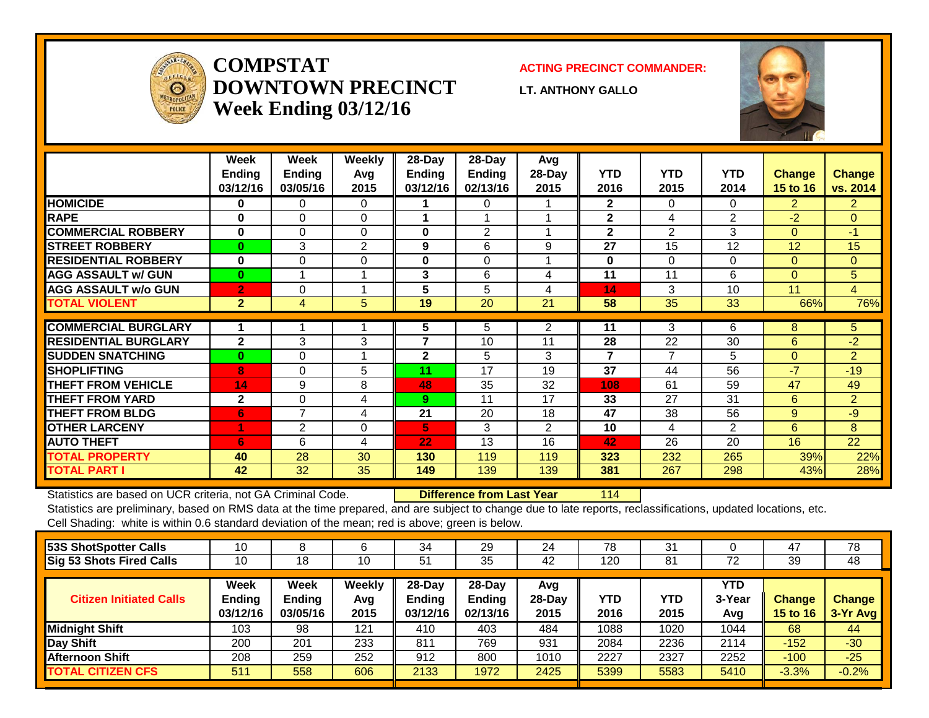

## **COMPSTATDOWNTOWN PRECINCTWeek Ending 03/12/16**

#### **ACTING PRECINCT COMMANDER:**

**LT. ANTHONY GALLO**



|                             | Week<br><b>Ending</b><br>03/12/16 | Week<br><b>Ending</b><br>03/05/16 | Weekly<br>Avg<br>2015 | $28$ -Day<br><b>Ending</b><br>03/12/16 | 28-Day<br><b>Ending</b><br>02/13/16 | Avg<br>28-Day<br>2015 | <b>YTD</b><br>2016      | <b>YTD</b><br>2015 | <b>YTD</b><br>2014 | <b>Change</b><br>15 to 16 | <b>Change</b><br>vs. 2014 |
|-----------------------------|-----------------------------------|-----------------------------------|-----------------------|----------------------------------------|-------------------------------------|-----------------------|-------------------------|--------------------|--------------------|---------------------------|---------------------------|
| <b>HOMICIDE</b>             | 0                                 | 0                                 | 0                     |                                        | $\Omega$                            |                       | $\mathbf{2}$            | 0                  | 0                  | $\overline{2}$            | $\overline{2}$            |
| <b>RAPE</b>                 | 0                                 | $\Omega$                          | $\Omega$              |                                        |                                     |                       | $\mathbf{2}$            | 4                  | $\overline{2}$     | $-2$                      | $\Omega$                  |
| <b>COMMERCIAL ROBBERY</b>   | $\bf{0}$                          | $\Omega$                          | $\Omega$              | $\bf{0}$                               | 2                                   |                       | $\mathbf{2}$            | $\overline{2}$     | 3                  | $\Omega$                  | $-1$                      |
| <b>STREET ROBBERY</b>       | $\bf{0}$                          | 3                                 | $\overline{2}$        | 9                                      | 6                                   | 9                     | 27                      | 15                 | 12                 | 12                        | 15                        |
| <b>RESIDENTIAL ROBBERY</b>  | $\bf{0}$                          | $\Omega$                          | $\Omega$              | $\bf{0}$                               | $\Omega$                            |                       | $\bf{0}$                | $\Omega$           | $\Omega$           | $\Omega$                  | $\Omega$                  |
| <b>AGG ASSAULT w/ GUN</b>   | $\bf{0}$                          |                                   |                       | 3                                      | 6                                   | 4                     | 11                      | 11                 | 6                  | $\Omega$                  | 5                         |
| <b>AGG ASSAULT w/o GUN</b>  | $\overline{2}$                    | 0                                 |                       | 5                                      | 5                                   | 4                     | 14                      | 3                  | 10                 | 11                        | $\overline{4}$            |
| <b>TOTAL VIOLENT</b>        | 2 <sup>2</sup>                    | 4                                 | 5                     | 19                                     | 20                                  | 21                    | 58                      | 35                 | 33                 | 66%                       | 76%                       |
| <b>COMMERCIAL BURGLARY</b>  |                                   |                                   |                       | 5                                      | 5                                   | $\overline{2}$        | 11                      | 3                  | 6                  | 8                         | 5                         |
| <b>RESIDENTIAL BURGLARY</b> | $\mathbf{2}$                      | 3                                 | 3                     | 7                                      | 10                                  | 11                    | 28                      | 22                 | 30                 | 6                         | $-2$                      |
| <b>SUDDEN SNATCHING</b>     | $\bf{0}$                          | 0                                 |                       | 2                                      | 5                                   | 3                     | $\overline{\mathbf{r}}$ | $\overline{7}$     | 5                  | $\Omega$                  | $\overline{2}$            |
| <b>ISHOPLIFTING</b>         | 8                                 | $\Omega$                          | 5                     | 11                                     | 17                                  | 19                    | 37                      | 44                 | 56                 | $-7$                      | $-19$                     |
| <b>THEFT FROM VEHICLE</b>   | 14                                | 9                                 | 8                     | 48                                     | 35                                  | 32                    | 108                     | 61                 | 59                 | 47                        | 49                        |
| <b>THEFT FROM YARD</b>      | $\mathbf{2}$                      | 0                                 | 4                     | 9.                                     | 11                                  | 17                    | 33                      | 27                 | 31                 | 6                         | $\overline{2}$            |
| <b>THEFT FROM BLDG</b>      | 6                                 | $\overline{7}$                    | 4                     | 21                                     | 20                                  | 18                    | 47                      | 38                 | 56                 | 9                         | $-9$                      |
| <b>OTHER LARCENY</b>        | 1                                 | 2                                 | $\Omega$              | 5.                                     | 3                                   | $\overline{2}$        | 10                      | 4                  | 2                  | 6                         | 8                         |
| <b>AUTO THEFT</b>           | 6                                 | 6                                 | 4                     | 22                                     | 13                                  | 16                    | 42                      | 26                 | 20                 | 16                        | 22                        |
| <b>TOTAL PROPERTY</b>       | 40                                | 28                                | 30                    | 130                                    | 119                                 | 119                   | 323                     | 232                | 265                | 39%                       | 22%                       |
| <b>TOTAL PART I</b>         | 42                                | 32                                | 35                    | 149                                    | 139                                 | 139                   | 381                     | 267                | 298                | 43%                       | 28%                       |

Statistics are based on UCR criteria, not GA Criminal Code. **Difference from Last Year** 114

| 53S ShotSpotter Calls           |                                   |                                          |                       | 34                                     | 29                                     | 24                      | 78          | 31          |                             | 47                               | 78                        |
|---------------------------------|-----------------------------------|------------------------------------------|-----------------------|----------------------------------------|----------------------------------------|-------------------------|-------------|-------------|-----------------------------|----------------------------------|---------------------------|
| <b>Sig 53 Shots Fired Calls</b> | 10                                | 18                                       | 10                    | 51                                     | 35                                     | 42                      | 120         | 81          | 72                          | 39                               | 48                        |
| <b>Citizen Initiated Calls</b>  | Week<br><b>Ending</b><br>03/12/16 | <b>Week</b><br><b>Ending</b><br>03/05/16 | Weekly<br>Avg<br>2015 | $28$ -Day<br><b>Endina</b><br>03/12/16 | $28$ -Day<br><b>Ending</b><br>02/13/16 | Avg<br>$28-Day$<br>2015 | YTD<br>2016 | YTD<br>2015 | <b>YTD</b><br>3-Year<br>Avg | <b>Change</b><br><b>15 to 16</b> | <b>Change</b><br>3-Yr Avg |
| <b>Midnight Shift</b>           | 103                               | 98                                       | 121                   | 410                                    | 403                                    | 484                     | 1088        | 1020        | 1044                        | 68                               | 44                        |
| Day Shift                       | 200                               | 201                                      | 233                   | 811                                    | 769                                    | 931                     | 2084        | 2236        | 2114                        | $-152$                           | $-30$                     |
| <b>Afternoon Shift</b>          | 208                               | 259                                      | 252                   | 912                                    | 800                                    | 1010                    | 2227        | 2327        | 2252                        | $-100$                           | $-25$                     |
| <b>TOTAL CITIZEN CFS</b>        | 511                               | 558                                      | 606                   | 2133                                   | 1972                                   | 2425                    | 5399        | 5583        | 5410                        | $-3.3%$                          | $-0.2%$                   |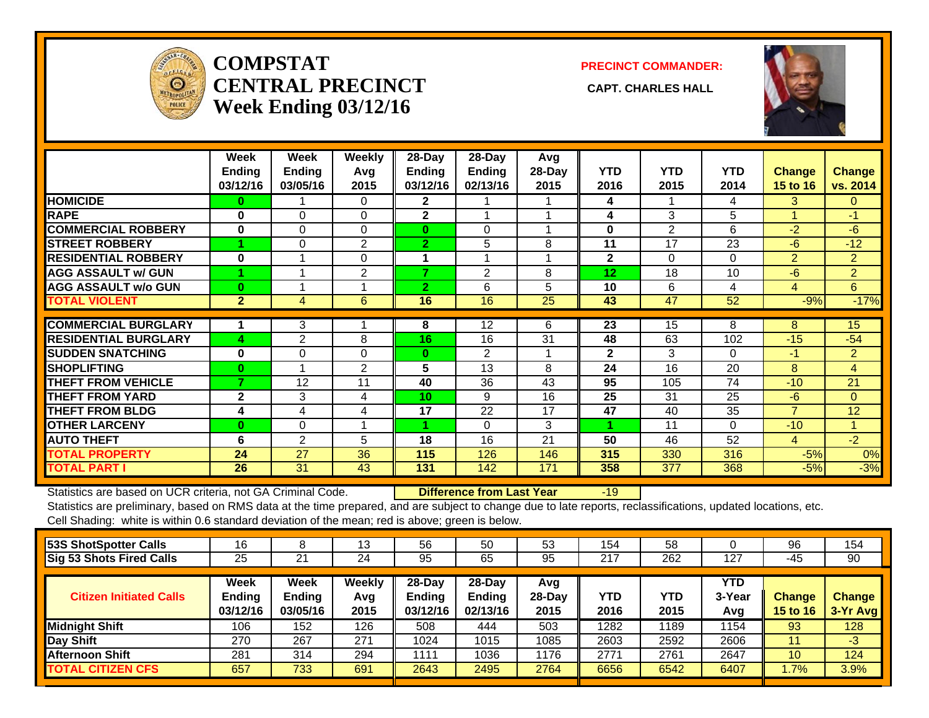

## **COMPSTATCENTRAL PRECINCT** CAPT. CHARLES HALL **Week Ending 03/12/16**

**PRECINCT COMMANDER:**



|                             | Week<br><b>Ending</b><br>03/12/16 | Week<br><b>Ending</b><br>03/05/16 | Weekly<br>Avg<br>2015 | $28$ -Day<br>Ending<br>03/12/16 | $28$ -Day<br><b>Ending</b><br>02/13/16 | Avg<br>28-Day<br>2015 | <b>YTD</b><br>2016 | <b>YTD</b><br>2015 | <b>YTD</b><br>2014 | Change<br>15 to 16 | <b>Change</b><br>vs. 2014 |
|-----------------------------|-----------------------------------|-----------------------------------|-----------------------|---------------------------------|----------------------------------------|-----------------------|--------------------|--------------------|--------------------|--------------------|---------------------------|
| <b>HOMICIDE</b>             | 0                                 |                                   | 0                     | $\mathbf{2}$                    |                                        |                       | 4                  |                    | 4                  | 3.                 | $\mathbf{0}$              |
| <b>RAPE</b>                 | $\bf{0}$                          | $\Omega$                          | 0                     | $\mathbf{2}$                    |                                        |                       | 4                  | 3                  | 5                  |                    | $-1$                      |
| <b>COMMERCIAL ROBBERY</b>   | 0                                 | $\Omega$                          | $\Omega$              | $\bf{0}$                        | 0                                      | ٠                     | $\bf{0}$           | $\overline{2}$     | 6                  | $-2$               | $-6$                      |
| <b>STREET ROBBERY</b>       |                                   | 0                                 | 2                     | $\overline{2}$                  | 5                                      | 8                     | 11                 | 17                 | 23                 | $-6$               | $-12$                     |
| <b>RESIDENTIAL ROBBERY</b>  | $\bf{0}$                          |                                   | $\Omega$              | 1                               |                                        |                       | $\mathbf{2}$       | 0                  | $\Omega$           | $\overline{2}$     | 2                         |
| <b>AGG ASSAULT w/ GUN</b>   |                                   |                                   | $\overline{2}$        | 7                               | $\overline{2}$                         | 8                     | 12                 | 18                 | 10                 | $-6$               | $\overline{2}$            |
| <b>AGG ASSAULT w/o GUN</b>  | $\bf{0}$                          |                                   |                       | $\overline{2}$                  | 6                                      | 5                     | 10                 | 6                  | 4                  | 4                  | 6                         |
| <b>TOTAL VIOLENT</b>        | $\overline{2}$                    | 4                                 | 6                     | 16                              | 16                                     | 25                    | 43                 | 47                 | 52                 | $-9%$              | $-17%$                    |
|                             |                                   |                                   |                       |                                 |                                        |                       |                    |                    |                    |                    |                           |
| <b>COMMERCIAL BURGLARY</b>  |                                   | 3                                 |                       | 8                               | 12                                     | 6                     | 23                 | 15                 | 8                  | 8                  | 15                        |
| <b>RESIDENTIAL BURGLARY</b> | 4                                 | 2                                 | 8                     | 16                              | 16                                     | 31                    | 48                 | 63                 | 102                | $-15$              | $-54$                     |
| <b>SUDDEN SNATCHING</b>     | $\bf{0}$                          | $\Omega$                          | $\Omega$              | $\bf{0}$                        | $\overline{2}$                         |                       | $\mathbf{2}$       | 3                  | $\Omega$           | $-1$               | $\overline{2}$            |
| <b>ISHOPLIFTING</b>         | 0                                 |                                   | $\overline{2}$        | 5                               | 13                                     | 8                     | 24                 | 16                 | 20                 | 8                  | $\overline{4}$            |
| <b>THEFT FROM VEHICLE</b>   | 7                                 | 12                                | 11                    | 40                              | 36                                     | 43                    | 95                 | 105                | 74                 | $-10$              | 21                        |
| <b>THEFT FROM YARD</b>      | $\mathbf{2}$                      | 3                                 | 4                     | 10                              | 9                                      | 16                    | 25                 | 31                 | 25                 | $-6$               | $\Omega$                  |
| <b>THEFT FROM BLDG</b>      | 4                                 | 4                                 | 4                     | 17                              | 22                                     | 17                    | 47                 | 40                 | 35                 | $\overline{7}$     | 12                        |
| <b>OTHER LARCENY</b>        | $\bf{0}$                          | $\Omega$                          |                       |                                 | $\Omega$                               | 3                     |                    | 11                 | $\Omega$           | $-10$              | 4                         |
| <b>AUTO THEFT</b>           | 6                                 | $\overline{2}$                    | 5                     | 18                              | 16                                     | 21                    | 50                 | 46                 | 52                 | 4                  | $-2$                      |
| <b>TOTAL PROPERTY</b>       | 24                                | 27                                | 36                    | 115                             | 126                                    | 146                   | 315                | 330                | 316                | $-5%$              | 0%                        |
| <b>TOTAL PART I</b>         | 26                                | 31                                | 43                    | 131                             | 142                                    | 171                   | 358                | 377                | 368                | $-5%$              | $-3%$                     |

Statistics are based on UCR criteria, not GA Criminal Code. **Difference from Last Year** -19

| <b>Sig 53 Shots Fired Calls</b><br>262<br>25<br>95<br>217<br>21<br>65<br>127<br>90<br>24<br>95<br>-45<br><b>Week</b><br>$28$ -Day<br><b>YTD</b><br><b>Week</b><br>Weekly<br>$28-Dav$<br>Avg<br>Ending<br>YTD<br>Ending<br>YTD<br>Ending<br><b>Endina</b><br>3-Year<br><b>Citizen Initiated Calls</b><br>$28-Day$<br><b>Change</b><br><b>Change</b><br>Avg<br>03/12/16<br>2015<br>03/05/16<br>2015<br>03/12/16<br>02/13/16<br>2016<br>3-Yr Avg<br>2015<br><b>15 to 16</b><br>Avg |                       |
|---------------------------------------------------------------------------------------------------------------------------------------------------------------------------------------------------------------------------------------------------------------------------------------------------------------------------------------------------------------------------------------------------------------------------------------------------------------------------------|-----------------------|
|                                                                                                                                                                                                                                                                                                                                                                                                                                                                                 |                       |
|                                                                                                                                                                                                                                                                                                                                                                                                                                                                                 |                       |
| 1282<br>106<br>503<br>1189<br>152<br>126<br>508<br>128<br>1154<br>93<br>444                                                                                                                                                                                                                                                                                                                                                                                                     | <b>Midnight Shift</b> |
| Day Shift<br>270<br>267<br>271<br>1015<br>2592<br>1024<br>1085<br>2603<br>2606<br>$-3$<br>11                                                                                                                                                                                                                                                                                                                                                                                    |                       |
| 281<br><b>Afternoon Shift</b><br>294<br>1036<br>1176<br>2771<br>2761<br>124<br>314<br>1111<br>2647<br>10                                                                                                                                                                                                                                                                                                                                                                        |                       |
| 657<br>733<br>2643<br>3.9%<br>691<br>2495<br>2764<br>6542<br><b>TOTAL CITIZEN CFS</b><br>6656<br>6407<br>$1.7\%$                                                                                                                                                                                                                                                                                                                                                                |                       |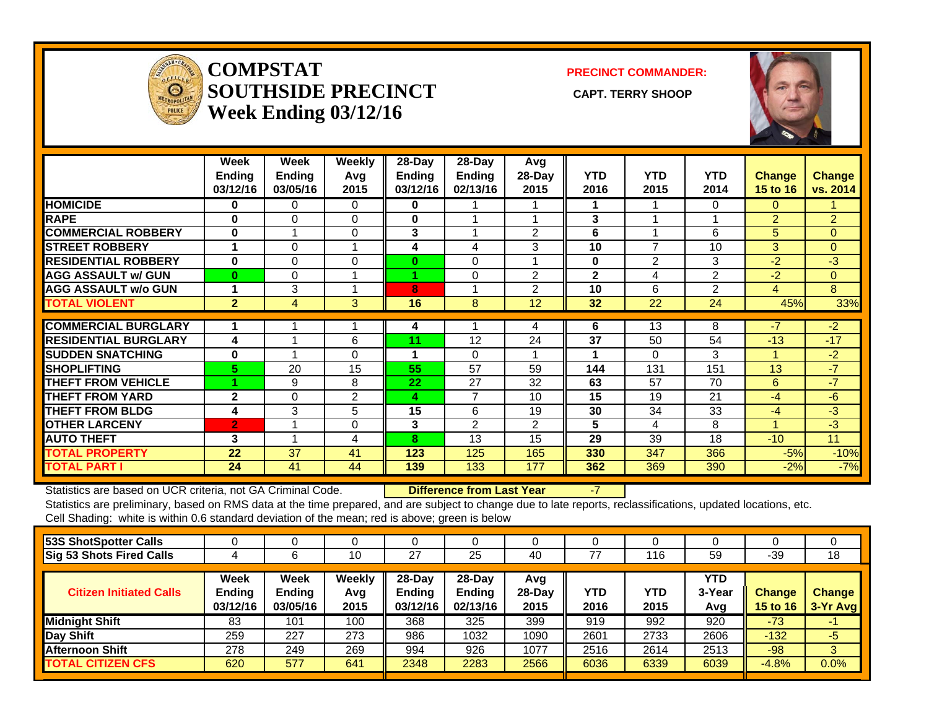

#### **COMPSTATSOUTHSIDE PRECINCT** CAPT. TERRY SHOOP **Week Ending 03/12/16**

**PRECINCT COMMANDER:**



|                             | Week<br><b>Ending</b><br>03/12/16 | Week<br><b>Ending</b><br>03/05/16 | <b>Weekly</b><br>Avg<br>2015 | $28$ -Day<br><b>Ending</b><br>03/12/16 | $28-Day$<br><b>Ending</b><br>02/13/16 | Avg<br>$28-Day$<br>2015 | <b>YTD</b><br>2016 | <b>YTD</b><br>2015 | <b>YTD</b><br>2014 | <b>Change</b><br>15 to 16 | Change<br>vs. 2014 |
|-----------------------------|-----------------------------------|-----------------------------------|------------------------------|----------------------------------------|---------------------------------------|-------------------------|--------------------|--------------------|--------------------|---------------------------|--------------------|
| <b>HOMICIDE</b>             | 0                                 | 0                                 | $\Omega$                     | 0                                      |                                       |                         |                    |                    | 0                  | 0                         |                    |
| <b>RAPE</b>                 | 0                                 | 0                                 | $\Omega$                     | 0                                      |                                       |                         | 3                  |                    |                    | $\overline{2}$            | $\overline{2}$     |
| <b>COMMERCIAL ROBBERY</b>   | $\bf{0}$                          |                                   | $\Omega$                     | 3                                      | 1                                     | 2                       | 6                  |                    | 6                  | 5                         | $\mathbf{0}$       |
| <b>STREET ROBBERY</b>       |                                   | 0                                 | 1                            | 4                                      | 4                                     | 3                       | 10                 | $\overline{ }$     | 10                 | 3                         | $\mathbf{0}$       |
| <b>RESIDENTIAL ROBBERY</b>  | $\bf{0}$                          | 0                                 | $\Omega$                     | 0                                      | $\Omega$                              |                         | $\bf{0}$           | $\overline{2}$     | 3                  | $-2$                      | $-3$               |
| <b>AGG ASSAULT w/ GUN</b>   | $\bf{0}$                          | 0                                 | 1                            |                                        | $\Omega$                              | 2                       | $\mathbf{2}$       | 4                  | $\overline{2}$     | -2                        | $\mathbf{0}$       |
| <b>AGG ASSAULT w/o GUN</b>  |                                   | 3                                 | 1                            | 8                                      |                                       | $\overline{2}$          | 10                 | 6                  | 2                  | 4                         | 8                  |
| <b>TOTAL VIOLENT</b>        | $\overline{2}$                    | 4                                 | 3                            | 16                                     | 8                                     | 12                      | 32                 | 22                 | 24                 | 45%                       | 33%                |
|                             |                                   |                                   |                              |                                        |                                       |                         |                    |                    |                    | $-7$                      |                    |
| <b>COMMERCIAL BURGLARY</b>  |                                   |                                   |                              | 4                                      |                                       | 4                       | 6                  | 13                 | 8                  |                           | $-2$               |
| <b>RESIDENTIAL BURGLARY</b> | 4                                 |                                   | 6                            | 11                                     | 12                                    | 24                      | 37                 | 50                 | 54                 | $-13$                     | $-17$              |
| <b>SUDDEN SNATCHING</b>     | 0                                 |                                   | $\Omega$                     | 1                                      | $\Omega$                              |                         | 1                  | $\Omega$           | 3                  |                           | $-2$               |
| <b>SHOPLIFTING</b>          | 5.                                | 20                                | 15                           | 55                                     | 57                                    | 59                      | 144                | 131                | 151                | 13                        | $-7$               |
| <b>THEFT FROM VEHICLE</b>   |                                   | 9                                 | 8                            | 22                                     | 27                                    | 32                      | 63                 | 57                 | 70                 | 6                         | $-7$               |
| <b>THEFT FROM YARD</b>      | $\mathbf{2}$                      | 0                                 | 2                            | 4                                      | $\overline{7}$                        | 10                      | 15                 | 19                 | 21                 | -4                        | $-6$               |
| <b>THEFT FROM BLDG</b>      | 4                                 | 3                                 | 5                            | 15                                     | 6                                     | 19                      | 30                 | 34                 | 33                 | $-4$                      | $-3$               |
| <b>OTHER LARCENY</b>        | $\overline{2}$                    |                                   | $\Omega$                     | 3                                      | $\overline{2}$                        | $\overline{2}$          | 5                  | 4                  | 8                  |                           | $-3$               |
| <b>AUTO THEFT</b>           | 3                                 |                                   | 4                            | 8                                      | 13                                    | 15                      | 29                 | 39                 | 18                 | $-10$                     | 11                 |
| <b>TOTAL PROPERTY</b>       | 22                                | 37                                | 41                           | 123                                    | 125                                   | 165                     | 330                | 347                | 366                | $-5%$                     | $-10%$             |
| <b>TOTAL PART I</b>         | 24                                | 41                                | 44                           | 139                                    | 133                                   | 177                     | 362                | 369                | 390                | $-2%$                     | $-7%$              |

Statistics are based on UCR criteria, not GA Criminal Code. **Difference from Last Year** -7

| 53S ShotSpotter Calls          |                                   |                                          | U                     |                                        |                                       |                          |             |             |                      |                           |                           |
|--------------------------------|-----------------------------------|------------------------------------------|-----------------------|----------------------------------------|---------------------------------------|--------------------------|-------------|-------------|----------------------|---------------------------|---------------------------|
| Sig 53 Shots Fired Calls       |                                   |                                          | 10                    | 27                                     | 25                                    | 40                       | 77          | 116         | 59                   | -39                       | 18                        |
| <b>Citizen Initiated Calls</b> | Week<br><b>Ending</b><br>03/12/16 | <b>Week</b><br><b>Ending</b><br>03/05/16 | Weekly<br>Avg<br>2015 | $28$ -Dav<br><b>Ending</b><br>03/12/16 | $28-Day$<br><b>Ending</b><br>02/13/16 | Avg<br>$28$ -Day<br>2015 | YTD<br>2016 | YTD<br>2015 | YTD<br>3-Year<br>Avg | <b>Change</b><br>15 to 16 | <b>Change</b><br>3-Yr Avg |
| <b>Midnight Shift</b>          | 83                                | 101                                      | 100                   | 368                                    | 325                                   | 399                      | 919         | 992         | 920                  | $-73$                     | ÷                         |
| Day Shift                      | 259                               | 227                                      | 273                   | 986                                    | 1032                                  | 1090                     | 2601        | 2733        | 2606                 | $-132$                    | $-5$                      |
| Afternoon Shift                | 278                               | 249                                      | 269                   | 994                                    | 926                                   | 1077                     | 2516        | 2614        | 2513                 | $-98$                     | 3                         |
| <b>TOTAL CITIZEN CFS</b>       | 620                               | 577                                      | 641                   | 2348                                   | 2283                                  | 2566                     | 6036        | 6339        | 6039                 | $-4.8%$                   | 0.0%                      |